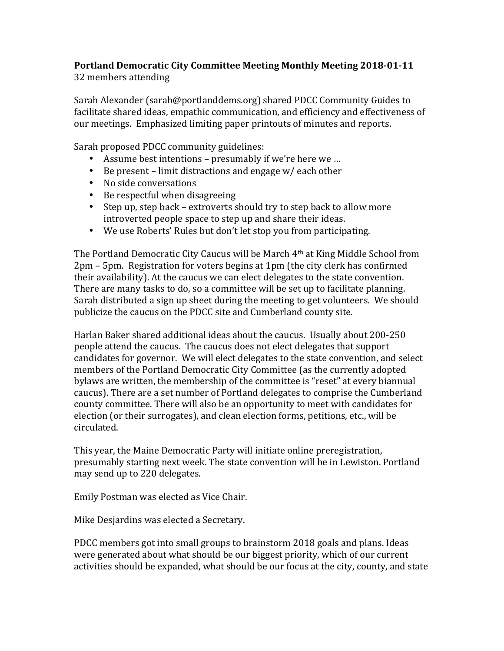## **Portland Democratic City Committee Meeting Monthly Meeting 2018-01-11** 32 members attending

Sarah Alexander (sarah@portlanddems.org) shared PDCC Community Guides to facilitate shared ideas, empathic communication, and efficiency and effectiveness of our meetings. Emphasized limiting paper printouts of minutes and reports.

Sarah proposed PDCC community guidelines:

- Assume best intentions presumably if we're here we ...
- Be present limit distractions and engage  $w/$  each other
- No side conversations
- $\bullet$  Be respectful when disagreeing
- Step up, step back extroverts should try to step back to allow more introverted people space to step up and share their ideas.
- We use Roberts' Rules but don't let stop you from participating.

The Portland Democratic City Caucus will be March  $4<sup>th</sup>$  at King Middle School from  $2pm - 5pm$ . Registration for voters begins at  $1pm$  (the city clerk has confirmed their availability). At the caucus we can elect delegates to the state convention. There are many tasks to do, so a committee will be set up to facilitate planning. Sarah distributed a sign up sheet during the meeting to get volunteers. We should publicize the caucus on the PDCC site and Cumberland county site.

Harlan Baker shared additional ideas about the caucus. Usually about 200-250 people attend the caucus. The caucus does not elect delegates that support candidates for governor. We will elect delegates to the state convention, and select members of the Portland Democratic City Committee (as the currently adopted bylaws are written, the membership of the committee is "reset" at every biannual caucus). There are a set number of Portland delegates to comprise the Cumberland county committee. There will also be an opportunity to meet with candidates for election (or their surrogates), and clean election forms, petitions, etc., will be circulated.

This year, the Maine Democratic Party will initiate online preregistration, presumably starting next week. The state convention will be in Lewiston. Portland may send up to 220 delegates.

Emily Postman was elected as Vice Chair.

Mike Desjardins was elected a Secretary.

PDCC members got into small groups to brainstorm 2018 goals and plans. Ideas were generated about what should be our biggest priority, which of our current activities should be expanded, what should be our focus at the city, county, and state